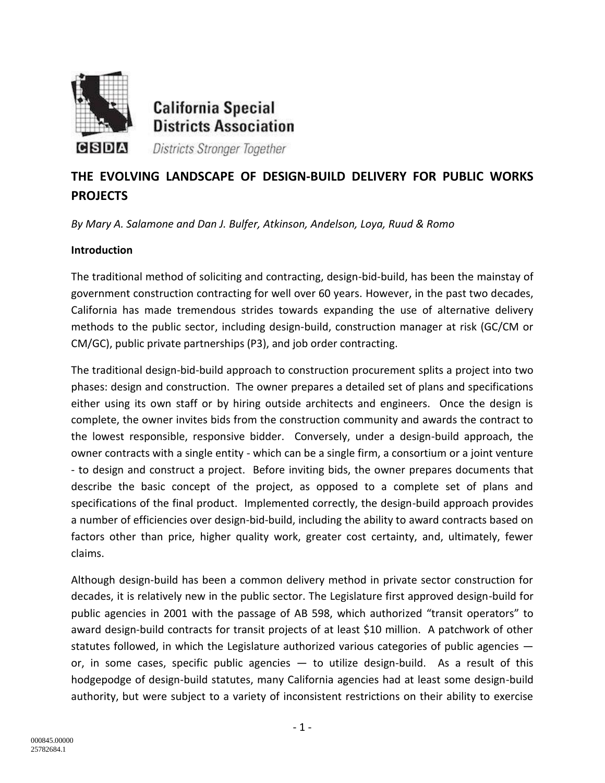

**California Special Districts Association** 

Districts Stronger Together

# **THE EVOLVING LANDSCAPE OF DESIGN-BUILD DELIVERY FOR PUBLIC WORKS PROJECTS**

*By Mary A. Salamone and Dan J. Bulfer, Atkinson, Andelson, Loya, Ruud & Romo*

## **Introduction**

The traditional method of soliciting and contracting, design-bid-build, has been the mainstay of government construction contracting for well over 60 years. However, in the past two decades, California has made tremendous strides towards expanding the use of alternative delivery methods to the public sector, including design-build, construction manager at risk (GC/CM or CM/GC), public private partnerships (P3), and job order contracting.

The traditional design-bid-build approach to construction procurement splits a project into two phases: design and construction. The owner prepares a detailed set of plans and specifications either using its own staff or by hiring outside architects and engineers. Once the design is complete, the owner invites bids from the construction community and awards the contract to the lowest responsible, responsive bidder. Conversely, under a design-build approach, the owner contracts with a single entity - which can be a single firm, a consortium or a joint venture - to design and construct a project. Before inviting bids, the owner prepares documents that describe the basic concept of the project, as opposed to a complete set of plans and specifications of the final product. Implemented correctly, the design-build approach provides a number of efficiencies over design-bid-build, including the ability to award contracts based on factors other than price, higher quality work, greater cost certainty, and, ultimately, fewer claims.

Although design-build has been a common delivery method in private sector construction for decades, it is relatively new in the public sector. The Legislature first approved design-build for public agencies in 2001 with the passage of AB 598, which authorized "transit operators" to award design-build contracts for transit projects of at least \$10 million. A patchwork of other statutes followed, in which the Legislature authorized various categories of public agencies or, in some cases, specific public agencies — to utilize design-build. As a result of this hodgepodge of design-build statutes, many California agencies had at least some design-build authority, but were subject to a variety of inconsistent restrictions on their ability to exercise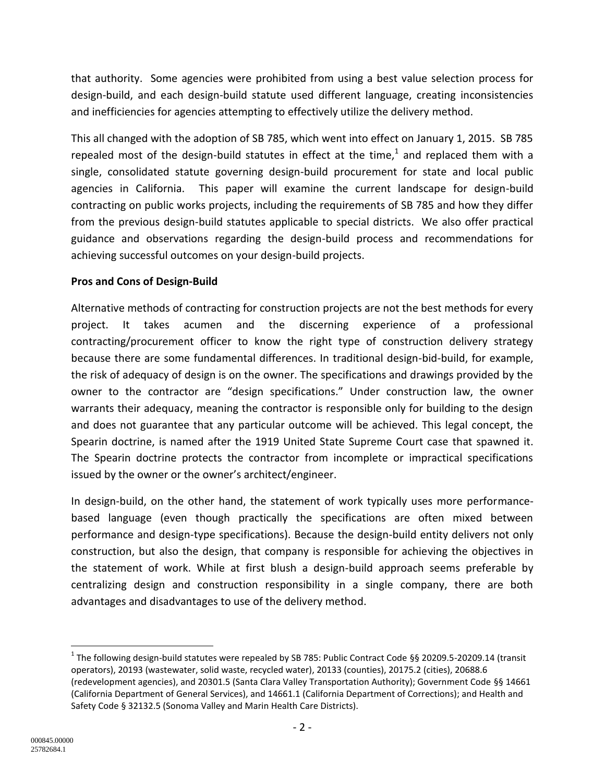that authority. Some agencies were prohibited from using a best value selection process for design-build, and each design-build statute used different language, creating inconsistencies and inefficiencies for agencies attempting to effectively utilize the delivery method.

This all changed with the adoption of SB 785, which went into effect on January 1, 2015. SB 785 repealed most of the design-build statutes in effect at the time, $^{1}$  and replaced them with a single, consolidated statute governing design-build procurement for state and local public agencies in California. This paper will examine the current landscape for design-build contracting on public works projects, including the requirements of SB 785 and how they differ from the previous design-build statutes applicable to special districts. We also offer practical guidance and observations regarding the design-build process and recommendations for achieving successful outcomes on your design-build projects.

## **Pros and Cons of Design-Build**

Alternative methods of contracting for construction projects are not the best methods for every project. It takes acumen and the discerning experience of a professional contracting/procurement officer to know the right type of construction delivery strategy because there are some fundamental differences. In traditional design-bid-build, for example, the risk of adequacy of design is on the owner. The specifications and drawings provided by the owner to the contractor are "design specifications." Under construction law, the owner warrants their adequacy, meaning the contractor is responsible only for building to the design and does not guarantee that any particular outcome will be achieved. This legal concept, the Spearin doctrine, is named after the 1919 United State Supreme Court case that spawned it. The Spearin doctrine protects the contractor from incomplete or impractical specifications issued by the owner or the owner's architect/engineer.

In design-build, on the other hand, the statement of work typically uses more performancebased language (even though practically the specifications are often mixed between performance and design-type specifications). Because the design-build entity delivers not only construction, but also the design, that company is responsible for achieving the objectives in the statement of work. While at first blush a design-build approach seems preferable by centralizing design and construction responsibility in a single company, there are both advantages and disadvantages to use of the delivery method.

l

<sup>&</sup>lt;sup>1</sup> The following design-build statutes were repealed by SB 785: Public Contract Code §§ 20209.5-20209.14 (transit operators), 20193 (wastewater, solid waste, recycled water), 20133 (counties), 20175.2 (cities), 20688.6 (redevelopment agencies), and 20301.5 (Santa Clara Valley Transportation Authority); Government Code §§ 14661 (California Department of General Services), and 14661.1 (California Department of Corrections); and Health and Safety Code § 32132.5 (Sonoma Valley and Marin Health Care Districts).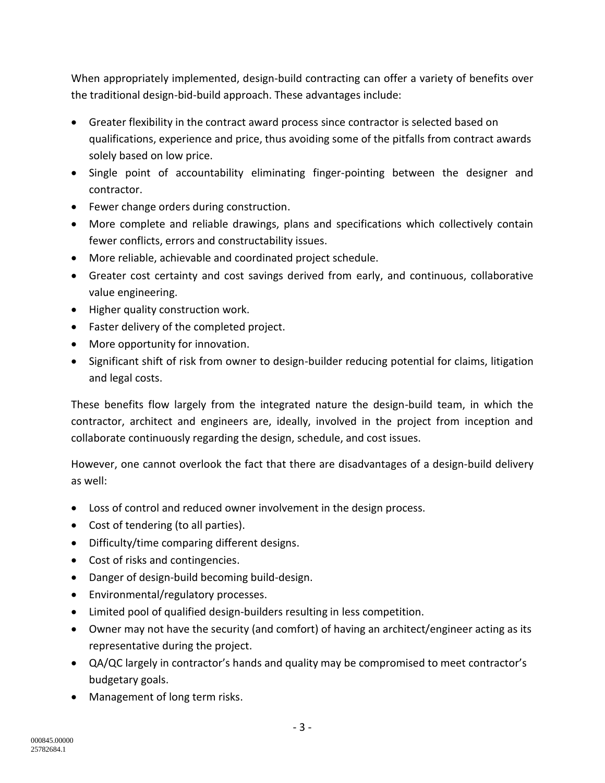When appropriately implemented, design-build contracting can offer a variety of benefits over the traditional design-bid-build approach. These advantages include:

- Greater flexibility in the contract award process since contractor is selected based on qualifications, experience and price, thus avoiding some of the pitfalls from contract awards solely based on low price.
- Single point of accountability eliminating finger-pointing between the designer and contractor.
- Fewer change orders during construction.
- More complete and reliable drawings, plans and specifications which collectively contain fewer conflicts, errors and constructability issues.
- More reliable, achievable and coordinated project schedule.
- Greater cost certainty and cost savings derived from early, and continuous, collaborative value engineering.
- Higher quality construction work.
- Faster delivery of the completed project.
- More opportunity for innovation.
- Significant shift of risk from owner to design-builder reducing potential for claims, litigation and legal costs.

These benefits flow largely from the integrated nature the design-build team, in which the contractor, architect and engineers are, ideally, involved in the project from inception and collaborate continuously regarding the design, schedule, and cost issues.

However, one cannot overlook the fact that there are disadvantages of a design-build delivery as well:

- Loss of control and reduced owner involvement in the design process.
- Cost of tendering (to all parties).
- Difficulty/time comparing different designs.
- Cost of risks and contingencies.
- Danger of design-build becoming build-design.
- Environmental/regulatory processes.
- Limited pool of qualified design-builders resulting in less competition.
- Owner may not have the security (and comfort) of having an architect/engineer acting as its representative during the project.
- QA/QC largely in contractor's hands and quality may be compromised to meet contractor's budgetary goals.
- Management of long term risks.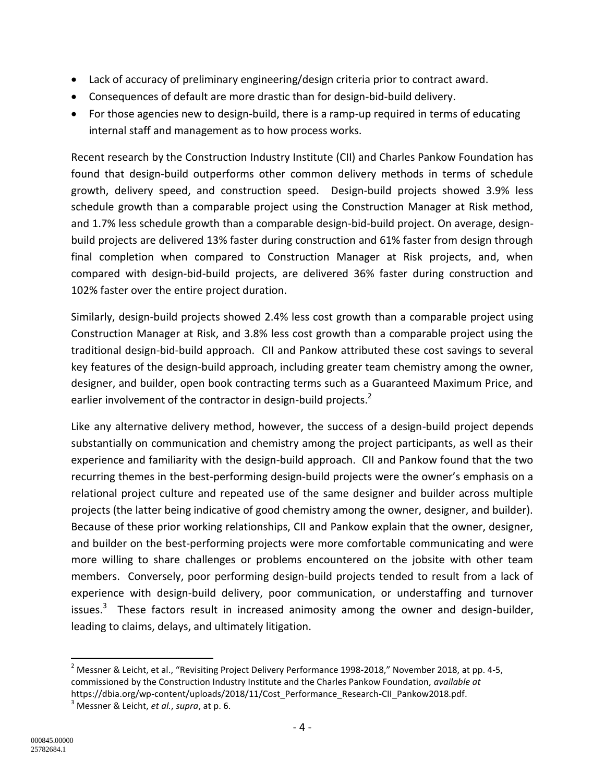- Lack of accuracy of preliminary engineering/design criteria prior to contract award.
- Consequences of default are more drastic than for design-bid-build delivery.
- For those agencies new to design-build, there is a ramp-up required in terms of educating internal staff and management as to how process works.

Recent research by the Construction Industry Institute (CII) and Charles Pankow Foundation has found that design-build outperforms other common delivery methods in terms of schedule growth, delivery speed, and construction speed. Design-build projects showed 3.9% less schedule growth than a comparable project using the Construction Manager at Risk method, and 1.7% less schedule growth than a comparable design-bid-build project. On average, designbuild projects are delivered 13% faster during construction and 61% faster from design through final completion when compared to Construction Manager at Risk projects, and, when compared with design-bid-build projects, are delivered 36% faster during construction and 102% faster over the entire project duration.

Similarly, design-build projects showed 2.4% less cost growth than a comparable project using Construction Manager at Risk, and 3.8% less cost growth than a comparable project using the traditional design-bid-build approach. CII and Pankow attributed these cost savings to several key features of the design-build approach, including greater team chemistry among the owner, designer, and builder, open book contracting terms such as a Guaranteed Maximum Price, and earlier involvement of the contractor in design-build projects.<sup>2</sup>

Like any alternative delivery method, however, the success of a design-build project depends substantially on communication and chemistry among the project participants, as well as their experience and familiarity with the design-build approach. CII and Pankow found that the two recurring themes in the best-performing design-build projects were the owner's emphasis on a relational project culture and repeated use of the same designer and builder across multiple projects (the latter being indicative of good chemistry among the owner, designer, and builder). Because of these prior working relationships, CII and Pankow explain that the owner, designer, and builder on the best-performing projects were more comfortable communicating and were more willing to share challenges or problems encountered on the jobsite with other team members. Conversely, poor performing design-build projects tended to result from a lack of experience with design-build delivery, poor communication, or understaffing and turnover issues.<sup>3</sup> These factors result in increased animosity among the owner and design-builder, leading to claims, delays, and ultimately litigation.

 $\overline{a}$ 

 $^2$  Messner & Leicht, et al., "Revisiting Project Delivery Performance 1998-2018," November 2018, at pp. 4-5, commissioned by the Construction Industry Institute and the Charles Pankow Foundation, *available at* https://dbia.org/wp-content/uploads/2018/11/Cost\_Performance\_Research-CII\_Pankow2018.pdf.

<sup>3</sup> Messner & Leicht, *et al.*, *supra*, at p. 6.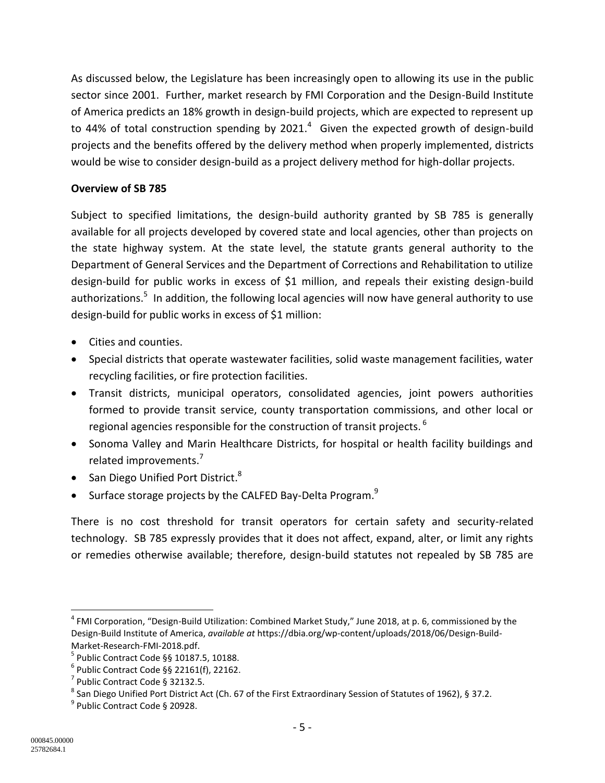As discussed below, the Legislature has been increasingly open to allowing its use in the public sector since 2001. Further, market research by FMI Corporation and the Design-Build Institute of America predicts an 18% growth in design-build projects, which are expected to represent up to 44% of total construction spending by 2021. $4\,$  Given the expected growth of design-build projects and the benefits offered by the delivery method when properly implemented, districts would be wise to consider design-build as a project delivery method for high-dollar projects.

## **Overview of SB 785**

Subject to specified limitations, the design-build authority granted by SB 785 is generally available for all projects developed by covered state and local agencies, other than projects on the state highway system. At the state level, the statute grants general authority to the Department of General Services and the Department of Corrections and Rehabilitation to utilize design-build for public works in excess of \$1 million, and repeals their existing design-build authorizations.<sup>5</sup> In addition, the following local agencies will now have general authority to use design-build for public works in excess of \$1 million:

- Cities and counties.
- Special districts that operate wastewater facilities, solid waste management facilities, water recycling facilities, or fire protection facilities.
- Transit districts, municipal operators, consolidated agencies, joint powers authorities formed to provide transit service, county transportation commissions, and other local or regional agencies responsible for the construction of transit projects.  $^6$
- Sonoma Valley and Marin Healthcare Districts, for hospital or health facility buildings and related improvements.<sup>7</sup>
- San Diego Unified Port District. $8$
- Surface storage projects by the CALFED Bay-Delta Program.<sup>9</sup>

There is no cost threshold for transit operators for certain safety and security-related technology. SB 785 expressly provides that it does not affect, expand, alter, or limit any rights or remedies otherwise available; therefore, design-build statutes not repealed by SB 785 are

 $\overline{\phantom{a}}$ 

<sup>&</sup>lt;sup>4</sup> FMI Corporation, "Design-Build Utilization: Combined Market Study," June 2018, at p. 6, commissioned by the Design-Build Institute of America, *available at* https://dbia.org/wp-content/uploads/2018/06/Design-Build-Market-Research-FMI-2018.pdf.

<sup>5</sup> Public Contract Code §§ 10187.5, 10188.

 $6$  Public Contract Code §§ 22161(f), 22162.

<sup>&</sup>lt;sup>7</sup> Public Contract Code § 32132.5.

 $^8$  San Diego Unified Port District Act (Ch. 67 of the First Extraordinary Session of Statutes of 1962), § 37.2.

<sup>9</sup> Public Contract Code § 20928.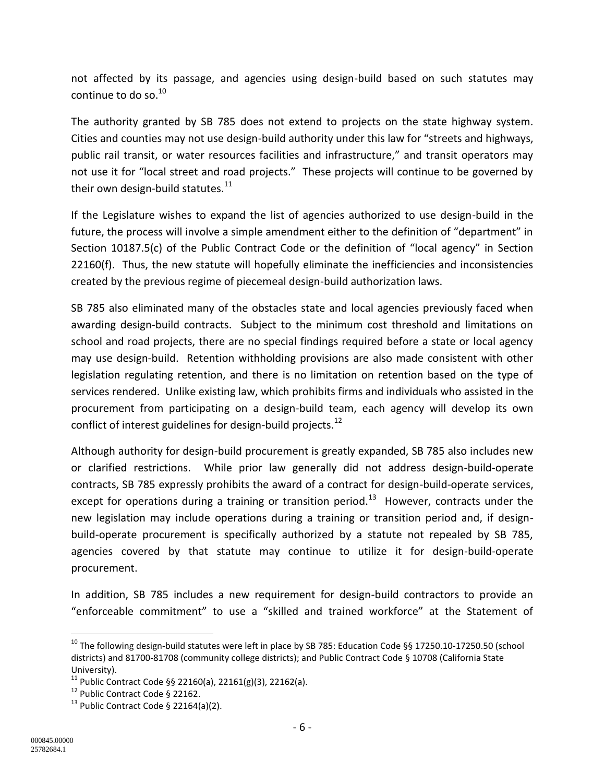not affected by its passage, and agencies using design-build based on such statutes may continue to do so. $^{10}$ 

The authority granted by SB 785 does not extend to projects on the state highway system. Cities and counties may not use design-build authority under this law for "streets and highways, public rail transit, or water resources facilities and infrastructure," and transit operators may not use it for "local street and road projects." These projects will continue to be governed by their own design-build statutes. $^{11}$ 

If the Legislature wishes to expand the list of agencies authorized to use design-build in the future, the process will involve a simple amendment either to the definition of "department" in Section 10187.5(c) of the Public Contract Code or the definition of "local agency" in Section 22160(f). Thus, the new statute will hopefully eliminate the inefficiencies and inconsistencies created by the previous regime of piecemeal design-build authorization laws.

SB 785 also eliminated many of the obstacles state and local agencies previously faced when awarding design-build contracts. Subject to the minimum cost threshold and limitations on school and road projects, there are no special findings required before a state or local agency may use design-build. Retention withholding provisions are also made consistent with other legislation regulating retention, and there is no limitation on retention based on the type of services rendered. Unlike existing law, which prohibits firms and individuals who assisted in the procurement from participating on a design-build team, each agency will develop its own conflict of interest guidelines for design-build projects. $^{12}$ 

Although authority for design-build procurement is greatly expanded, SB 785 also includes new or clarified restrictions. While prior law generally did not address design-build-operate contracts, SB 785 expressly prohibits the award of a contract for design-build-operate services, except for operations during a training or transition period.<sup>13</sup> However, contracts under the new legislation may include operations during a training or transition period and, if designbuild-operate procurement is specifically authorized by a statute not repealed by SB 785, agencies covered by that statute may continue to utilize it for design-build-operate procurement.

In addition, SB 785 includes a new requirement for design-build contractors to provide an "enforceable commitment" to use a "skilled and trained workforce" at the Statement of

 $\overline{a}$ 

 $^{10}$  The following design-build statutes were left in place by SB 785: Education Code §§ 17250.10-17250.50 (school districts) and 81700-81708 (community college districts); and Public Contract Code § 10708 (California State University).

 $11$  Public Contract Code §§ 22160(a), 22161(g)(3), 22162(a).

<sup>&</sup>lt;sup>12</sup> Public Contract Code § 22162.

 $13$  Public Contract Code § 22164(a)(2).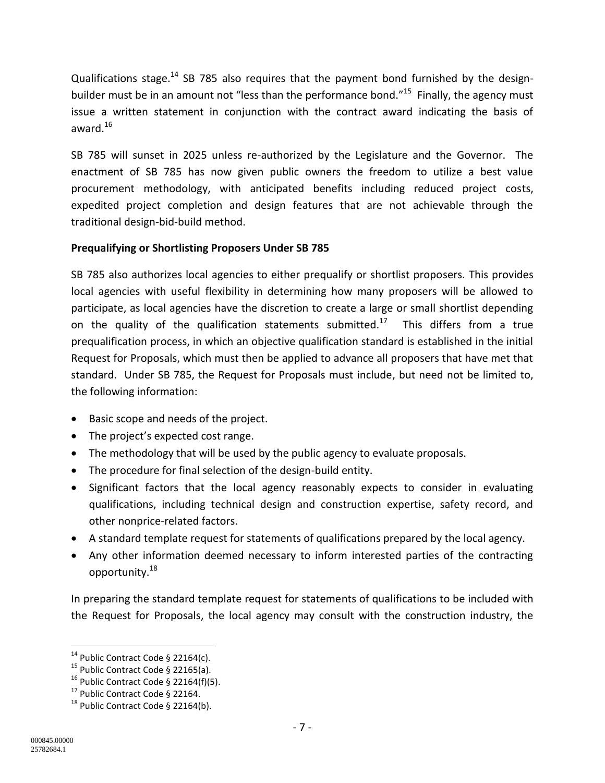Qualifications stage.<sup>14</sup> SB 785 also requires that the payment bond furnished by the designbuilder must be in an amount not "less than the performance bond."<sup>15</sup> Finally, the agency must issue a written statement in conjunction with the contract award indicating the basis of award. $16$ 

SB 785 will sunset in 2025 unless re-authorized by the Legislature and the Governor. The enactment of SB 785 has now given public owners the freedom to utilize a best value procurement methodology, with anticipated benefits including reduced project costs, expedited project completion and design features that are not achievable through the traditional design-bid-build method.

## **Prequalifying or Shortlisting Proposers Under SB 785**

SB 785 also authorizes local agencies to either prequalify or shortlist proposers. This provides local agencies with useful flexibility in determining how many proposers will be allowed to participate, as local agencies have the discretion to create a large or small shortlist depending on the quality of the qualification statements submitted.<sup>17</sup> This differs from a true prequalification process, in which an objective qualification standard is established in the initial Request for Proposals, which must then be applied to advance all proposers that have met that standard. Under SB 785, the Request for Proposals must include, but need not be limited to, the following information:

- Basic scope and needs of the project.
- The project's expected cost range.
- The methodology that will be used by the public agency to evaluate proposals.
- The procedure for final selection of the design-build entity.
- Significant factors that the local agency reasonably expects to consider in evaluating qualifications, including technical design and construction expertise, safety record, and other nonprice-related factors.
- A standard template request for statements of qualifications prepared by the local agency.
- Any other information deemed necessary to inform interested parties of the contracting opportunity.<sup>18</sup>

In preparing the standard template request for statements of qualifications to be included with the Request for Proposals, the local agency may consult with the construction industry, the

l

 $14$  Public Contract Code § 22164(c).

<sup>&</sup>lt;sup>15</sup> Public Contract Code § 22165(a).

 $16$  Public Contract Code § 22164(f)(5).

 $17$  Public Contract Code § 22164.

 $^{18}$  Public Contract Code § 22164(b).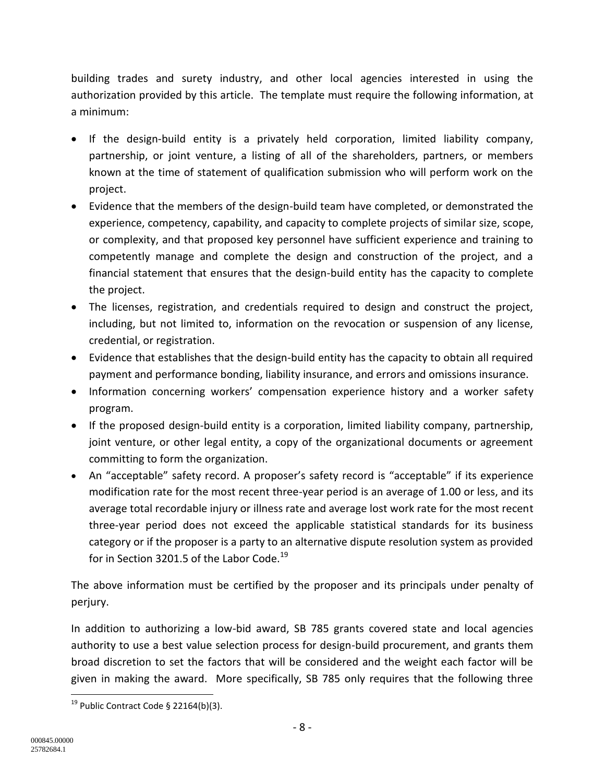building trades and surety industry, and other local agencies interested in using the authorization provided by this article. The template must require the following information, at a minimum:

- If the design-build entity is a privately held corporation, limited liability company, partnership, or joint venture, a listing of all of the shareholders, partners, or members known at the time of statement of qualification submission who will perform work on the project.
- Evidence that the members of the design-build team have completed, or demonstrated the experience, competency, capability, and capacity to complete projects of similar size, scope, or complexity, and that proposed key personnel have sufficient experience and training to competently manage and complete the design and construction of the project, and a financial statement that ensures that the design-build entity has the capacity to complete the project.
- The licenses, registration, and credentials required to design and construct the project, including, but not limited to, information on the revocation or suspension of any license, credential, or registration.
- Evidence that establishes that the design-build entity has the capacity to obtain all required payment and performance bonding, liability insurance, and errors and omissions insurance.
- Information concerning workers' compensation experience history and a worker safety program.
- If the proposed design-build entity is a corporation, limited liability company, partnership, joint venture, or other legal entity, a copy of the organizational documents or agreement committing to form the organization.
- An "acceptable" safety record. A proposer's safety record is "acceptable" if its experience modification rate for the most recent three-year period is an average of 1.00 or less, and its average total recordable injury or illness rate and average lost work rate for the most recent three-year period does not exceed the applicable statistical standards for its business category or if the proposer is a party to an alternative dispute resolution system as provided for in Section 3201.5 of the Labor Code.<sup>19</sup>

The above information must be certified by the proposer and its principals under penalty of perjury.

In addition to authorizing a low-bid award, SB 785 grants covered state and local agencies authority to use a best value selection process for design-build procurement, and grants them broad discretion to set the factors that will be considered and the weight each factor will be given in making the award. More specifically, SB 785 only requires that the following three

 $\overline{\phantom{a}}$ <sup>19</sup> Public Contract Code § 22164(b)(3).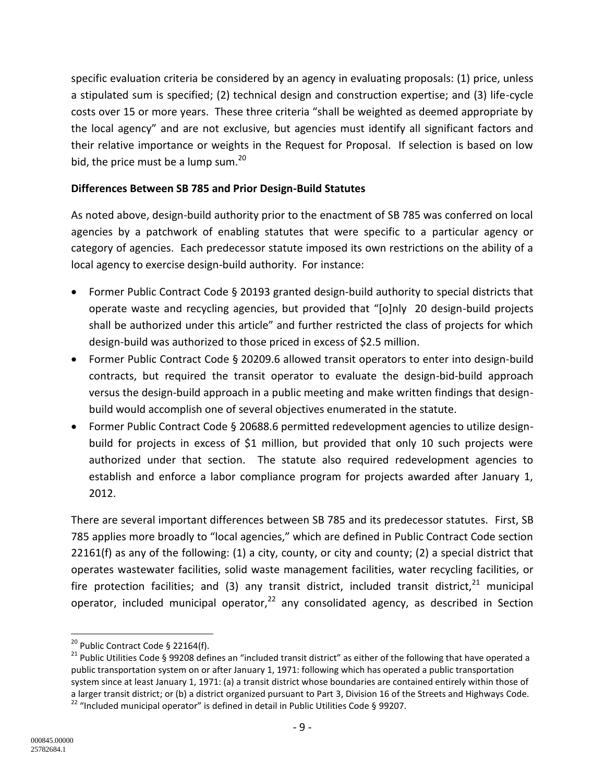specific evaluation criteria be considered by an agency in evaluating proposals: (1) price, unless a stipulated sum is specified; (2) technical design and construction expertise; and (3) life-cycle costs over 15 or more years. These three criteria "shall be weighted as deemed appropriate by the local agency" and are not exclusive, but agencies must identify all significant factors and their relative importance or weights in the Request for Proposal. If selection is based on low bid, the price must be a lump sum. $^{20}$ 

## **Differences Between SB 785 and Prior Design-Build Statutes**

As noted above, design-build authority prior to the enactment of SB 785 was conferred on local agencies by a patchwork of enabling statutes that were specific to a particular agency or category of agencies. Each predecessor statute imposed its own restrictions on the ability of a local agency to exercise design-build authority. For instance:

- Former Public Contract Code § 20193 granted design-build authority to special districts that operate waste and recycling agencies, but provided that "[o]nly 20 design-build projects shall be authorized under this article" and further restricted the class of projects for which design-build was authorized to those priced in excess of \$2.5 million.
- Former Public Contract Code § 20209.6 allowed transit operators to enter into design-build contracts, but required the transit operator to evaluate the design-bid-build approach versus the design-build approach in a public meeting and make written findings that designbuild would accomplish one of several objectives enumerated in the statute.
- Former Public Contract Code § 20688.6 permitted redevelopment agencies to utilize designbuild for projects in excess of \$1 million, but provided that only 10 such projects were authorized under that section. The statute also required redevelopment agencies to establish and enforce a labor compliance program for projects awarded after January 1, 2012.

There are several important differences between SB 785 and its predecessor statutes. First, SB 785 applies more broadly to "local agencies," which are defined in Public Contract Code section 22161(f) as any of the following:  $(1)$  a city, county, or city and county;  $(2)$  a special district that operates wastewater facilities, solid waste management facilities, water recycling facilities, or fire protection facilities; and (3) any transit district, included transit district,  $21$  municipal operator, included municipal operator, $^{22}$  any consolidated agency, as described in Section

 $\overline{a}$ <sup>20</sup> Public Contract Code § 22164(f).

<sup>&</sup>lt;sup>21</sup> Public Utilities Code § 99208 defines an "included transit district" as either of the following that have operated a public transportation system on or after January 1, 1971: following which has operated a public transportation system since at least January 1, 1971: (a) a transit district whose boundaries are contained entirely within those of a larger transit district; or (b) a district organized pursuant to Part 3, Division 16 of the Streets and Highways Code.  $22$  "Included municipal operator" is defined in detail in Public Utilities Code § 99207.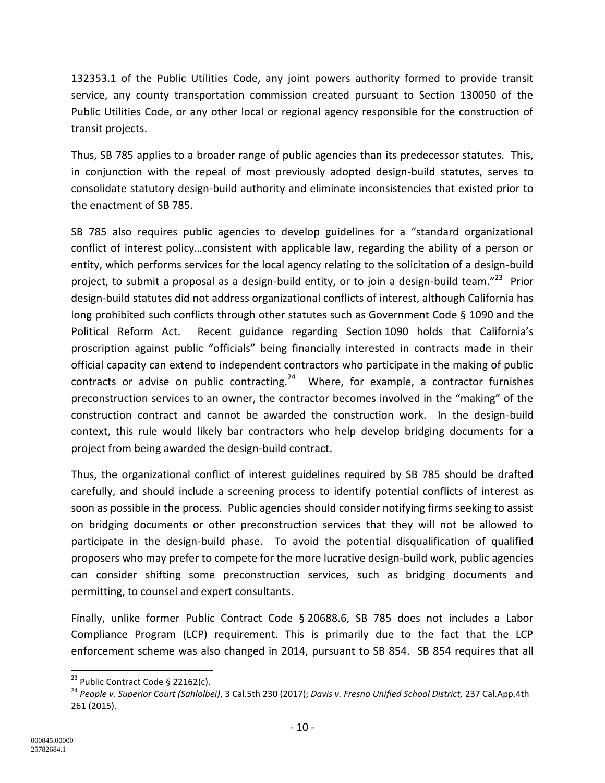132353.1 of the Public Utilities Code, any joint powers authority formed to provide transit service, any county transportation commission created pursuant to Section 130050 of the Public Utilities Code, or any other local or regional agency responsible for the construction of transit projects.

Thus, SB 785 applies to a broader range of public agencies than its predecessor statutes. This, in conjunction with the repeal of most previously adopted design-build statutes, serves to consolidate statutory design-build authority and eliminate inconsistencies that existed prior to the enactment of SB 785.

SB 785 also requires public agencies to develop guidelines for a "standard organizational conflict of interest policy…consistent with applicable law, regarding the ability of a person or entity, which performs services for the local agency relating to the solicitation of a design-build project, to submit a proposal as a design-build entity, or to join a design-build team."<sup>23</sup> Prior design-build statutes did not address organizational conflicts of interest, although California has long prohibited such conflicts through other statutes such as Government Code § 1090 and the Political Reform Act. Recent guidance regarding Section 1090 holds that California's proscription against public "officials" being financially interested in contracts made in their official capacity can extend to independent contractors who participate in the making of public contracts or advise on public contracting.<sup>24</sup> Where, for example, a contractor furnishes preconstruction services to an owner, the contractor becomes involved in the "making" of the construction contract and cannot be awarded the construction work. In the design-build context, this rule would likely bar contractors who help develop bridging documents for a project from being awarded the design-build contract.

Thus, the organizational conflict of interest guidelines required by SB 785 should be drafted carefully, and should include a screening process to identify potential conflicts of interest as soon as possible in the process. Public agencies should consider notifying firms seeking to assist on bridging documents or other preconstruction services that they will not be allowed to participate in the design-build phase. To avoid the potential disqualification of qualified proposers who may prefer to compete for the more lucrative design-build work, public agencies can consider shifting some preconstruction services, such as bridging documents and permitting, to counsel and expert consultants.

Finally, unlike former Public Contract Code § 20688.6, SB 785 does not includes a Labor Compliance Program (LCP) requirement. This is primarily due to the fact that the LCP enforcement scheme was also changed in 2014, pursuant to SB 854. SB 854 requires that all

 $\overline{\phantom{a}}$ 

<sup>&</sup>lt;sup>23</sup> Public Contract Code § 22162(c).

<sup>24</sup> *People v. Superior Court (Sahlolbei)*, 3 Cal.5th 230 (2017); *Davis v. Fresno Unified School District,* 237 Cal.App.4th 261 (2015).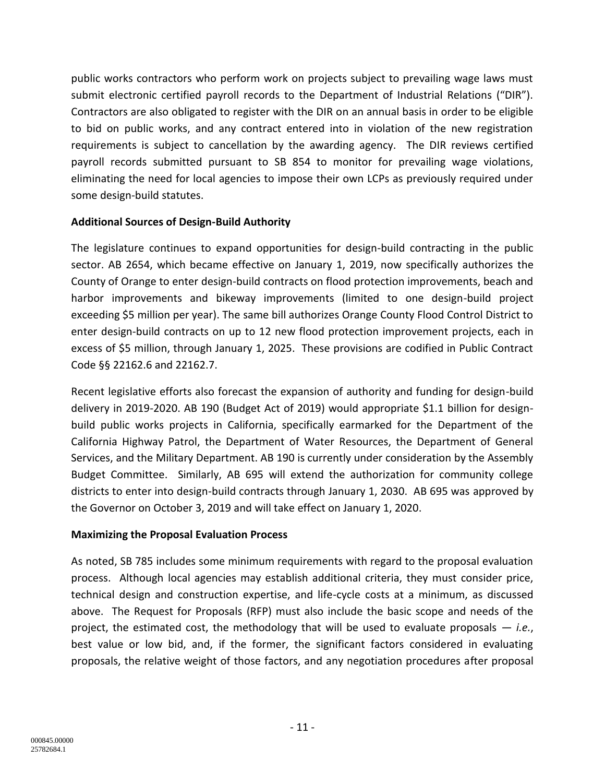public works contractors who perform work on projects subject to prevailing wage laws must submit electronic certified payroll records to the Department of Industrial Relations ("DIR"). Contractors are also obligated to register with the DIR on an annual basis in order to be eligible to bid on public works, and any contract entered into in violation of the new registration requirements is subject to cancellation by the awarding agency. The DIR reviews certified payroll records submitted pursuant to SB 854 to monitor for prevailing wage violations, eliminating the need for local agencies to impose their own LCPs as previously required under some design-build statutes.

#### **Additional Sources of Design-Build Authority**

The legislature continues to expand opportunities for design-build contracting in the public sector. AB 2654, which became effective on January 1, 2019, now specifically authorizes the County of Orange to enter design-build contracts on flood protection improvements, beach and harbor improvements and bikeway improvements (limited to one design-build project exceeding \$5 million per year). The same bill authorizes Orange County Flood Control District to enter design-build contracts on up to 12 new flood protection improvement projects, each in excess of \$5 million, through January 1, 2025. These provisions are codified in Public Contract Code §§ 22162.6 and 22162.7.

Recent legislative efforts also forecast the expansion of authority and funding for design-build delivery in 2019-2020. AB 190 (Budget Act of 2019) would appropriate \$1.1 billion for designbuild public works projects in California, specifically earmarked for the Department of the California Highway Patrol, the Department of Water Resources, the Department of General Services, and the Military Department. AB 190 is currently under consideration by the Assembly Budget Committee. Similarly, AB 695 will extend the authorization for community college districts to enter into design-build contracts through January 1, 2030. AB 695 was approved by the Governor on October 3, 2019 and will take effect on January 1, 2020.

#### **Maximizing the Proposal Evaluation Process**

As noted, SB 785 includes some minimum requirements with regard to the proposal evaluation process. Although local agencies may establish additional criteria, they must consider price, technical design and construction expertise, and life-cycle costs at a minimum, as discussed above. The Request for Proposals (RFP) must also include the basic scope and needs of the project, the estimated cost, the methodology that will be used to evaluate proposals — *i.e.*, best value or low bid, and, if the former, the significant factors considered in evaluating proposals, the relative weight of those factors, and any negotiation procedures after proposal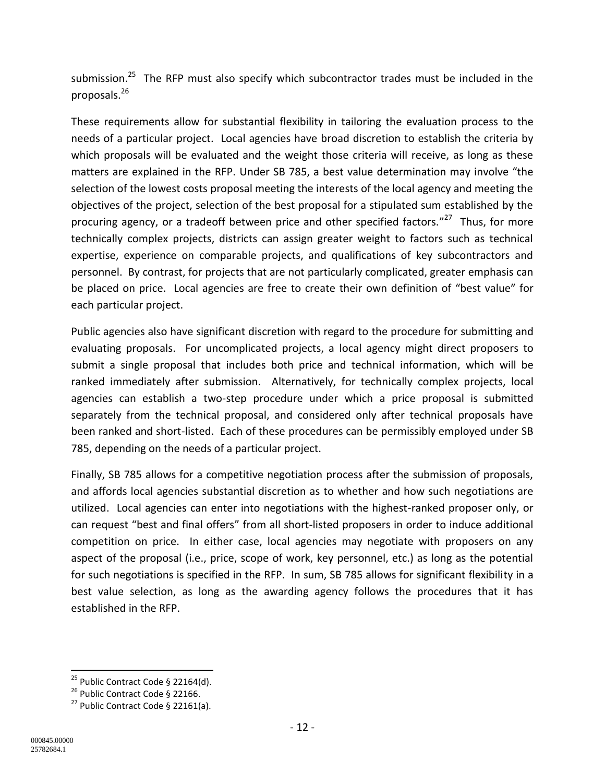submission.<sup>25</sup> The RFP must also specify which subcontractor trades must be included in the proposals.<sup>26</sup>

These requirements allow for substantial flexibility in tailoring the evaluation process to the needs of a particular project. Local agencies have broad discretion to establish the criteria by which proposals will be evaluated and the weight those criteria will receive, as long as these matters are explained in the RFP. Under SB 785, a best value determination may involve "the selection of the lowest costs proposal meeting the interests of the local agency and meeting the objectives of the project, selection of the best proposal for a stipulated sum established by the procuring agency, or a tradeoff between price and other specified factors."<sup>27</sup> Thus, for more technically complex projects, districts can assign greater weight to factors such as technical expertise, experience on comparable projects, and qualifications of key subcontractors and personnel. By contrast, for projects that are not particularly complicated, greater emphasis can be placed on price. Local agencies are free to create their own definition of "best value" for each particular project.

Public agencies also have significant discretion with regard to the procedure for submitting and evaluating proposals. For uncomplicated projects, a local agency might direct proposers to submit a single proposal that includes both price and technical information, which will be ranked immediately after submission. Alternatively, for technically complex projects, local agencies can establish a two-step procedure under which a price proposal is submitted separately from the technical proposal, and considered only after technical proposals have been ranked and short-listed. Each of these procedures can be permissibly employed under SB 785, depending on the needs of a particular project.

Finally, SB 785 allows for a competitive negotiation process after the submission of proposals, and affords local agencies substantial discretion as to whether and how such negotiations are utilized. Local agencies can enter into negotiations with the highest-ranked proposer only, or can request "best and final offers" from all short-listed proposers in order to induce additional competition on price. In either case, local agencies may negotiate with proposers on any aspect of the proposal (i.e., price, scope of work, key personnel, etc.) as long as the potential for such negotiations is specified in the RFP. In sum, SB 785 allows for significant flexibility in a best value selection, as long as the awarding agency follows the procedures that it has established in the RFP.

 $\overline{\phantom{a}}$ 

<sup>&</sup>lt;sup>25</sup> Public Contract Code § 22164(d).

 $26$  Public Contract Code § 22166.

 $27$  Public Contract Code § 22161(a).